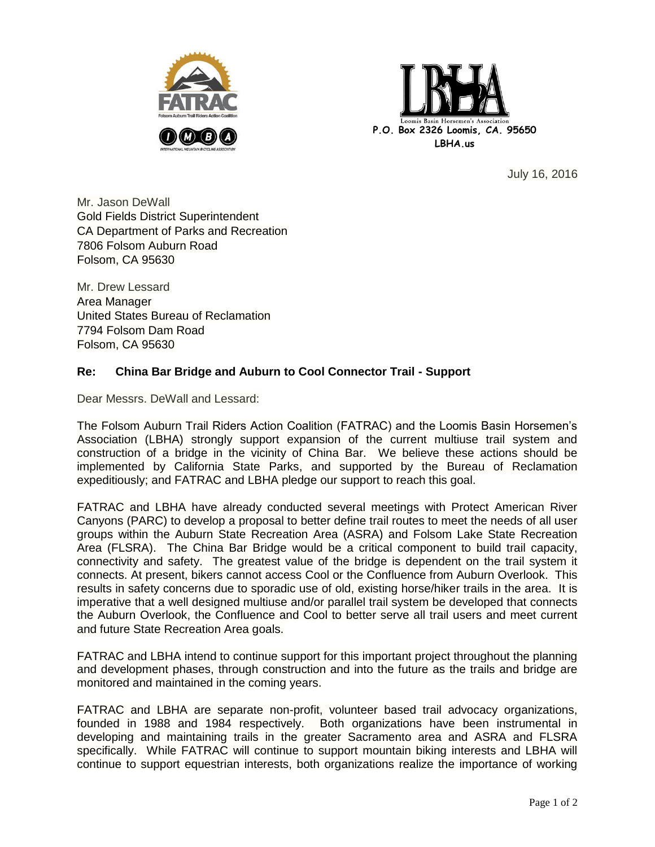



July 16, 2016

Mr. Jason DeWall Gold Fields District Superintendent CA Department of Parks and Recreation 7806 Folsom Auburn Road Folsom, CA 95630

Mr. Drew Lessard Area Manager United States Bureau of Reclamation 7794 Folsom Dam Road Folsom, CA 95630

## **Re: China Bar Bridge and Auburn to Cool Connector Trail - Support**

Dear Messrs. DeWall and Lessard:

The Folsom Auburn Trail Riders Action Coalition (FATRAC) and the Loomis Basin Horsemen's Association (LBHA) strongly support expansion of the current multiuse trail system and construction of a bridge in the vicinity of China Bar. We believe these actions should be implemented by California State Parks, and supported by the Bureau of Reclamation expeditiously; and FATRAC and LBHA pledge our support to reach this goal.

FATRAC and LBHA have already conducted several meetings with Protect American River Canyons (PARC) to develop a proposal to better define trail routes to meet the needs of all user groups within the Auburn State Recreation Area (ASRA) and Folsom Lake State Recreation Area (FLSRA). The China Bar Bridge would be a critical component to build trail capacity, connectivity and safety. The greatest value of the bridge is dependent on the trail system it connects. At present, bikers cannot access Cool or the Confluence from Auburn Overlook. This results in safety concerns due to sporadic use of old, existing horse/hiker trails in the area. It is imperative that a well designed multiuse and/or parallel trail system be developed that connects the Auburn Overlook, the Confluence and Cool to better serve all trail users and meet current and future State Recreation Area goals.

FATRAC and LBHA intend to continue support for this important project throughout the planning and development phases, through construction and into the future as the trails and bridge are monitored and maintained in the coming years.

FATRAC and LBHA are separate non-profit, volunteer based trail advocacy organizations, founded in 1988 and 1984 respectively. Both organizations have been instrumental in developing and maintaining trails in the greater Sacramento area and ASRA and FLSRA specifically. While FATRAC will continue to support mountain biking interests and LBHA will continue to support equestrian interests, both organizations realize the importance of working